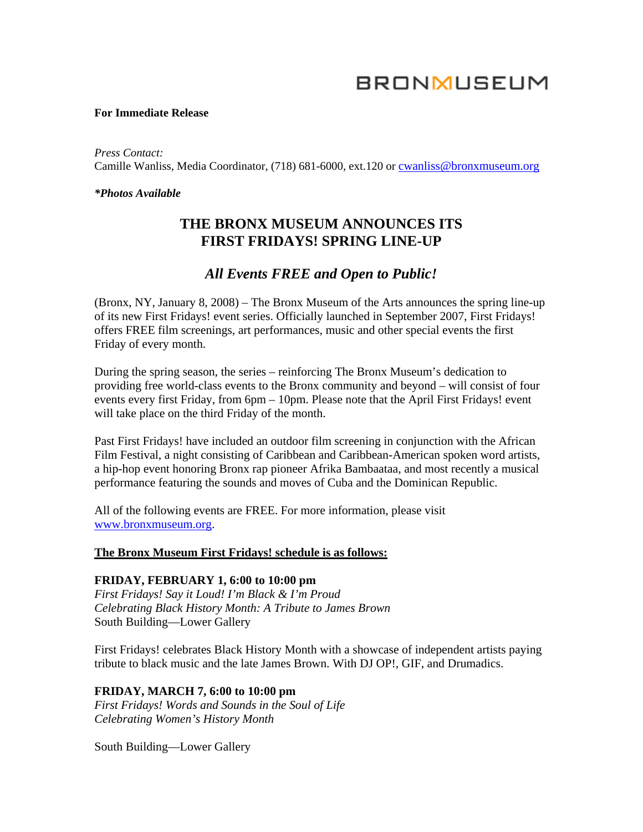# **BRONMUSEUM**

#### **For Immediate Release**

*Press Contact:*  Camille Wanliss, Media Coordinator, (718) 681-6000, ext.120 or [cwanliss@bronxmuseum.org](mailto:cwanliss@bronxmuseum.org)

#### *\*Photos Available*

# **THE BRONX MUSEUM ANNOUNCES ITS FIRST FRIDAYS! SPRING LINE-UP**

## *All Events FREE and Open to Public!*

(Bronx, NY, January 8, 2008) – The Bronx Museum of the Arts announces the spring line-up of its new First Fridays! event series. Officially launched in September 2007, First Fridays! offers FREE film screenings, art performances, music and other special events the first Friday of every month.

During the spring season, the series – reinforcing The Bronx Museum's dedication to providing free world-class events to the Bronx community and beyond – will consist of four events every first Friday, from 6pm – 10pm. Please note that the April First Fridays! event will take place on the third Friday of the month.

Past First Fridays! have included an outdoor film screening in conjunction with the African Film Festival, a night consisting of Caribbean and Caribbean-American spoken word artists, a hip-hop event honoring Bronx rap pioneer Afrika Bambaataa, and most recently a musical performance featuring the sounds and moves of Cuba and the Dominican Republic.

All of the following events are FREE. For more information, please visit [www.bronxmuseum.org.](http://www.bronxmuseum.org/)

#### **The Bronx Museum First Fridays! schedule is as follows:**

#### **FRIDAY, FEBRUARY 1, 6:00 to 10:00 pm**

*First Fridays! Say it Loud! I'm Black & I'm Proud Celebrating Black History Month: A Tribute to James Brown*  South Building—Lower Gallery

First Fridays! celebrates Black History Month with a showcase of independent artists paying tribute to black music and the late James Brown. With DJ OP!, GIF, and Drumadics.

#### **FRIDAY, MARCH 7, 6:00 to 10:00 pm**

*First Fridays! Words and Sounds in the Soul of Life Celebrating Women's History Month* 

South Building—Lower Gallery